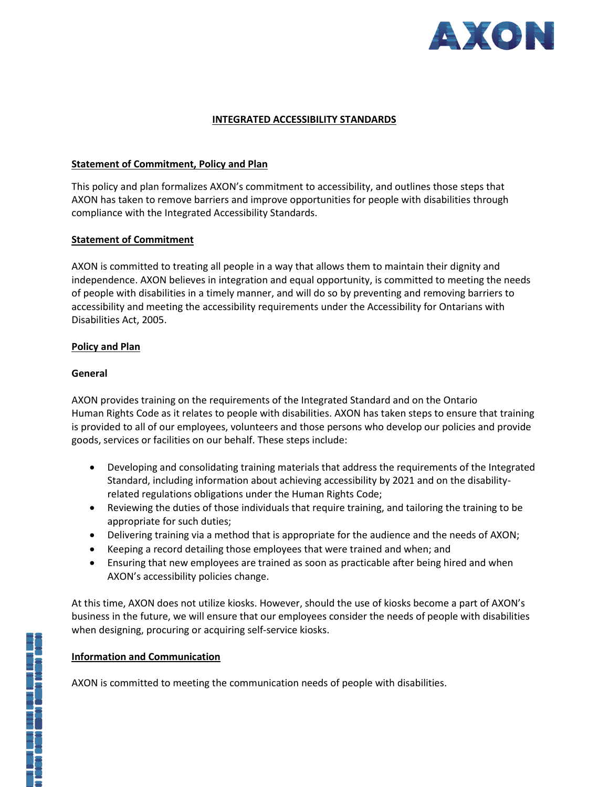

## **INTEGRATED ACCESSIBILITY STANDARDS**

### **Statement of Commitment, Policy and Plan**

This policy and plan formalizes AXON's commitment to accessibility, and outlines those steps that AXON has taken to remove barriers and improve opportunities for people with disabilities through compliance with the Integrated Accessibility Standards.

### **Statement of Commitment**

AXON is committed to treating all people in a way that allows them to maintain their dignity and independence. AXON believes in integration and equal opportunity, is committed to meeting the needs of people with disabilities in a timely manner, and will do so by preventing and removing barriers to accessibility and meeting the accessibility requirements under the Accessibility for Ontarians with Disabilities Act, 2005.

#### **Policy and Plan**

#### **General**

AXON provides training on the requirements of the Integrated Standard and on the Ontario Human Rights Code as it relates to people with disabilities. AXON has taken steps to ensure that training is provided to all of our employees, volunteers and those persons who develop our policies and provide goods, services or facilities on our behalf. These steps include:

- Developing and consolidating training materials that address the requirements of the Integrated Standard, including information about achieving accessibility by 2021 and on the disabilityrelated regulations obligations under the Human Rights Code;
- Reviewing the duties of those individuals that require training, and tailoring the training to be appropriate for such duties;
- Delivering training via a method that is appropriate for the audience and the needs of AXON;
- Keeping a record detailing those employees that were trained and when; and
- Ensuring that new employees are trained as soon as practicable after being hired and when AXON's accessibility policies change.

At this time, AXON does not utilize kiosks. However, should the use of kiosks become a part of AXON's business in the future, we will ensure that our employees consider the needs of people with disabilities when designing, procuring or acquiring self-service kiosks.

### **Information and Communication**

AXON is committed to meeting the communication needs of people with disabilities.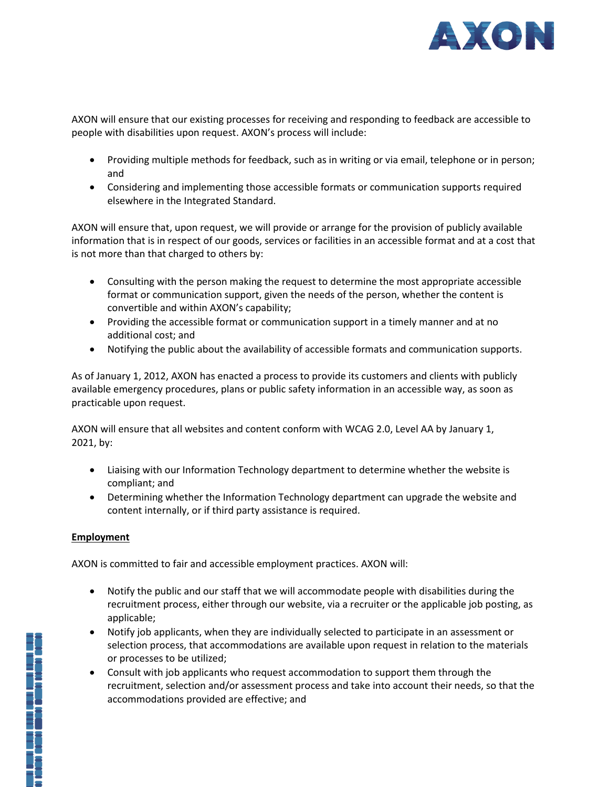

AXON will ensure that our existing processes for receiving and responding to feedback are accessible to people with disabilities upon request. AXON's process will include:

- Providing multiple methods for feedback, such as in writing or via email, telephone or in person; and
- Considering and implementing those accessible formats or communication supports required elsewhere in the Integrated Standard.

AXON will ensure that, upon request, we will provide or arrange for the provision of publicly available information that is in respect of our goods, services or facilities in an accessible format and at a cost that is not more than that charged to others by:

- Consulting with the person making the request to determine the most appropriate accessible format or communication support, given the needs of the person, whether the content is convertible and within AXON's capability;
- Providing the accessible format or communication support in a timely manner and at no additional cost; and
- Notifying the public about the availability of accessible formats and communication supports.

As of January 1, 2012, AXON has enacted a process to provide its customers and clients with publicly available emergency procedures, plans or public safety information in an accessible way, as soon as practicable upon request.

AXON will ensure that all websites and content conform with WCAG 2.0, Level AA by January 1, 2021, by:

- Liaising with our Information Technology department to determine whether the website is compliant; and
- Determining whether the Information Technology department can upgrade the website and content internally, or if third party assistance is required.

### **Employment**

AXON is committed to fair and accessible employment practices. AXON will:

- Notify the public and our staff that we will accommodate people with disabilities during the recruitment process, either through our website, via a recruiter or the applicable job posting, as applicable;
- Notify job applicants, when they are individually selected to participate in an assessment or selection process, that accommodations are available upon request in relation to the materials or processes to be utilized;
- Consult with job applicants who request accommodation to support them through the recruitment, selection and/or assessment process and take into account their needs, so that the accommodations provided are effective; and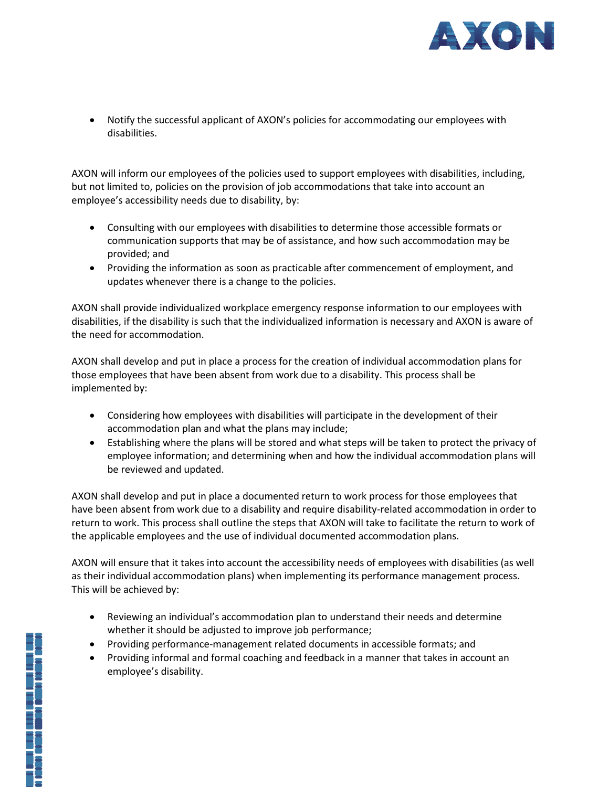

 Notify the successful applicant of AXON's policies for accommodating our employees with disabilities.

AXON will inform our employees of the policies used to support employees with disabilities, including, but not limited to, policies on the provision of job accommodations that take into account an employee's accessibility needs due to disability, by:

- Consulting with our employees with disabilities to determine those accessible formats or communication supports that may be of assistance, and how such accommodation may be provided; and
- Providing the information as soon as practicable after commencement of employment, and updates whenever there is a change to the policies.

AXON shall provide individualized workplace emergency response information to our employees with disabilities, if the disability is such that the individualized information is necessary and AXON is aware of the need for accommodation.

AXON shall develop and put in place a process for the creation of individual accommodation plans for those employees that have been absent from work due to a disability. This process shall be implemented by:

- Considering how employees with disabilities will participate in the development of their accommodation plan and what the plans may include;
- Establishing where the plans will be stored and what steps will be taken to protect the privacy of employee information; and determining when and how the individual accommodation plans will be reviewed and updated.

AXON shall develop and put in place a documented return to work process for those employees that have been absent from work due to a disability and require disability-related accommodation in order to return to work. This process shall outline the steps that AXON will take to facilitate the return to work of the applicable employees and the use of individual documented accommodation plans.

AXON will ensure that it takes into account the accessibility needs of employees with disabilities (as well as their individual accommodation plans) when implementing its performance management process. This will be achieved by:

- Reviewing an individual's accommodation plan to understand their needs and determine whether it should be adjusted to improve job performance;
- Providing performance-management related documents in accessible formats; and
- Providing informal and formal coaching and feedback in a manner that takes in account an employee's disability.